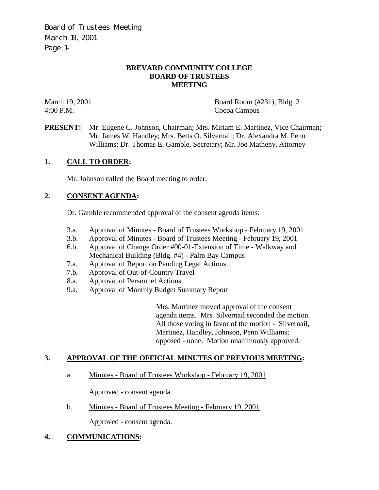Board of Trustees Meeting March 19, 2001 Page 1–

### **BREVARD COMMUNITY COLLEGE BOARD OF TRUSTEES MEETING**

March 19, 2001 Board Room (#231), Bldg. 2 4:00 P.M. Cocoa Campus

**PRESENT:** Mr. Eugene C. Johnson, Chairman; Mrs. Miriam E. Martinez, Vice Chairman; Mr. James W. Handley; Mrs. Betts O. Silvernail; Dr. Alexandra M. Penn Williams; Dr. Thomas E. Gamble, Secretary; Mr. Joe Matheny, Attorney

## **1. CALL TO ORDER:**

Mr. Johnson called the Board meeting to order.

### **2. CONSENT AGENDA:**

Dr. Gamble recommended approval of the consent agenda items:

- 3.a. Approval of Minutes Board of Trustees Workshop February 19, 2001
- 3.b. Approval of Minutes Board of Trustees Meeting February 19, 2001
- 6.b. Approval of Change Order #00-01-Extension of Time Walkway and Mechanical Building (Bldg. #4) - Palm Bay Campus
- 7.a. Approval of Report on Pending Legal Actions
- 7.b. Approval of Out-of-Country Travel
- 8.a. Approval of Personnel Actions
- 9.a. Approval of Monthly Budget Summary Report

Mrs. Martinez moved approval of the consent agenda items. Mrs. Silvernail seconded the motion. All those voting in favor of the motion - Silvernail, Martinez, Handley, Johnson, Penn Williams; opposed - none. Motion unanimously approved.

### **3. APPROVAL OF THE OFFICIAL MINUTES OF PREVIOUS MEETING:**

a. Minutes - Board of Trustees Workshop - February 19, 2001

Approved - consent agenda.

b. Minutes - Board of Trustees Meeting - February 19, 2001

Approved - consent agenda.

### **4. COMMUNICATIONS:**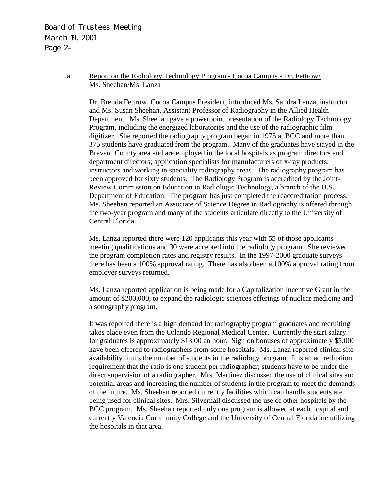Board of Trustees Meeting March 19, 2001 Page 2–

## a. Report on the Radiology Technology Program - Cocoa Campus - Dr. Fettrow/ Ms. Sheehan/Ms. Lanza

Dr. Brenda Fettrow, Cocoa Campus President, introduced Ms. Sandra Lanza, instructor and Ms. Susan Sheehan, Assistant Professor of Radiography in the Allied Health Department. Ms. Sheehan gave a powerpoint presentation of the Radiology Technology Program, including the energized laboratories and the use of the radiographic film digitizer. She reported the radiography program began in 1975 at BCC and more than 375 students have graduated from the program. Many of the graduates have stayed in the Brevard County area and are employed in the local hospitals as program directors and department directors; application specialists for manufacturers of x-ray products; instructors and working in speciality radiography areas. The radiography program has been approved for sixty students. The Radiology Program is accredited by the Joint-Review Commission on Education in Radiologic Technology, a branch of the U.S. Department of Education. The program has just completed the reaccreditation process. Ms. Sheehan reported an Associate of Science Degree in Radiography is offered through the two-year program and many of the students articulate directly to the University of Central Florida.

Ms. Lanza reported there were 120 applicants this year with 55 of those applicants meeting qualifications and 30 were accepted into the radiology program. She reviewed the program completion rates and registry results. In the 1997-2000 graduate surveys there has been a 100% approval rating. There has also been a 100% approval rating from employer surveys returned.

Ms. Lanza reported application is being made for a Capitalization Incentive Grant in the amount of \$200,000, to expand the radiologic sciences offerings of nuclear medicine and a sonography program.

It was reported there is a high demand for radiography program graduates and recruiting takes place even from the Orlando Regional Medical Center. Currently the start salary for graduates is approximately \$13.00 an hour. Sign on bonuses of approximately \$5,000 have been offered to radiographers from some hospitals. Ms. Lanza reported clinical site availability limits the number of students in the radiology program. It is an accreditation requirement that the ratio is one student per radiographer; students have to be under the direct supervision of a radiographer. Mrs. Martinez discussed the use of clinical sites and potential areas and increasing the number of students in the program to meet the demands of the future. Ms. Sheehan reported currently facilities which can handle students are being used for clinical sites. Mrs. Silvernail discussed the use of other hospitals by the BCC program. Ms. Sheehan reported only one program is allowed at each hospital and currently Valencia Community College and the University of Central Florida are utilizing the hospitals in that area.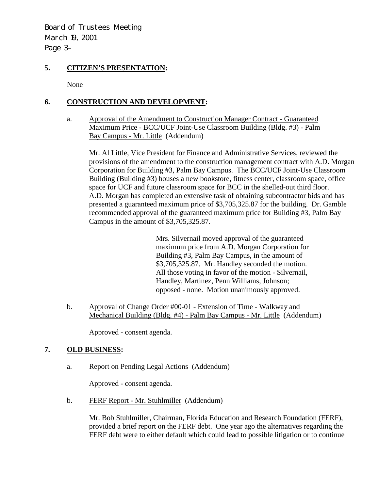Board of Trustees Meeting March 19, 2001 Page 3–

## **5. CITIZEN'S PRESENTATION:**

None

# **6. CONSTRUCTION AND DEVELOPMENT:**

a. Approval of the Amendment to Construction Manager Contract - Guaranteed Maximum Price - BCC/UCF Joint-Use Classroom Building (Bldg. #3) - Palm Bay Campus - Mr. Little (Addendum)

Mr. Al Little, Vice President for Finance and Administrative Services, reviewed the provisions of the amendment to the construction management contract with A.D. Morgan Corporation for Building #3, Palm Bay Campus. The BCC/UCF Joint-Use Classroom Building (Building #3) houses a new bookstore, fitness center, classroom space, office space for UCF and future classroom space for BCC in the shelled-out third floor. A.D. Morgan has completed an extensive task of obtaining subcontractor bids and has presented a guaranteed maximum price of \$3,705,325.87 for the building. Dr. Gamble recommended approval of the guaranteed maximum price for Building #3, Palm Bay Campus in the amount of \$3,705,325.87.

> Mrs. Silvernail moved approval of the guaranteed maximum price from A.D. Morgan Corporation for Building #3, Palm Bay Campus, in the amount of \$3,705,325.87. Mr. Handley seconded the motion. All those voting in favor of the motion - Silvernail, Handley, Martinez, Penn Williams, Johnson; opposed - none. Motion unanimously approved.

 b. Approval of Change Order #00-01 - Extension of Time - Walkway and Mechanical Building (Bldg. #4) - Palm Bay Campus - Mr. Little (Addendum)

Approved - consent agenda.

## **7. OLD BUSINESS:**

a. Report on Pending Legal Actions (Addendum)

Approved - consent agenda.

b. FERF Report - Mr. Stuhlmiller (Addendum)

Mr. Bob Stuhlmiller, Chairman, Florida Education and Research Foundation (FERF), provided a brief report on the FERF debt. One year ago the alternatives regarding the FERF debt were to either default which could lead to possible litigation or to continue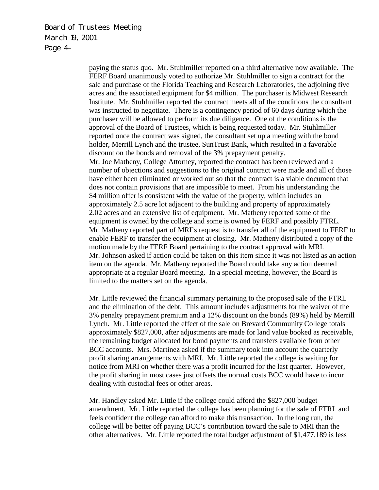Board of Trustees Meeting March 19, 2001 Page 4–

> paying the status quo. Mr. Stuhlmiller reported on a third alternative now available. The FERF Board unanimously voted to authorize Mr. Stuhlmiller to sign a contract for the sale and purchase of the Florida Teaching and Research Laboratories, the adjoining five acres and the associated equipment for \$4 million. The purchaser is Midwest Research Institute. Mr. Stuhlmiller reported the contract meets all of the conditions the consultant was instructed to negotiate. There is a contingency period of 60 days during which the purchaser will be allowed to perform its due diligence. One of the conditions is the approval of the Board of Trustees, which is being requested today. Mr. Stuhlmiller reported once the contract was signed, the consultant set up a meeting with the bond holder, Merrill Lynch and the trustee, SunTrust Bank, which resulted in a favorable discount on the bonds and removal of the 3% prepayment penalty. Mr. Joe Matheny, College Attorney, reported the contract has been reviewed and a number of objections and suggestions to the original contract were made and all of those have either been eliminated or worked out so that the contract is a viable document that does not contain provisions that are impossible to meet. From his understanding the \$4 million offer is consistent with the value of the property, which includes an approximately 2.5 acre lot adjacent to the building and property of approximately 2.02 acres and an extensive list of equipment. Mr. Matheny reported some of the equipment is owned by the college and some is owned by FERF and possibly FTRL. Mr. Matheny reported part of MRI's request is to transfer all of the equipment to FERF to enable FERF to transfer the equipment at closing. Mr. Matheny distributed a copy of the motion made by the FERF Board pertaining to the contract approval with MRI. Mr. Johnson asked if action could be taken on this item since it was not listed as an action item on the agenda. Mr. Matheny reported the Board could take any action deemed appropriate at a regular Board meeting. In a special meeting, however, the Board is limited to the matters set on the agenda.

> Mr. Little reviewed the financial summary pertaining to the proposed sale of the FTRL and the elimination of the debt. This amount includes adjustments for the waiver of the 3% penalty prepayment premium and a 12% discount on the bonds (89%) held by Merrill Lynch. Mr. Little reported the effect of the sale on Brevard Community College totals approximately \$827,000, after adjustments are made for land value booked as receivable, the remaining budget allocated for bond payments and transfers available from other BCC accounts. Mrs. Martinez asked if the summary took into account the quarterly profit sharing arrangements with MRI. Mr. Little reported the college is waiting for notice from MRI on whether there was a profit incurred for the last quarter. However, the profit sharing in most cases just offsets the normal costs BCC would have to incur dealing with custodial fees or other areas.

Mr. Handley asked Mr. Little if the college could afford the \$827,000 budget amendment. Mr. Little reported the college has been planning for the sale of FTRL and feels confident the college can afford to make this transaction. In the long run, the college will be better off paying BCC's contribution toward the sale to MRI than the other alternatives. Mr. Little reported the total budget adjustment of \$1,477,189 is less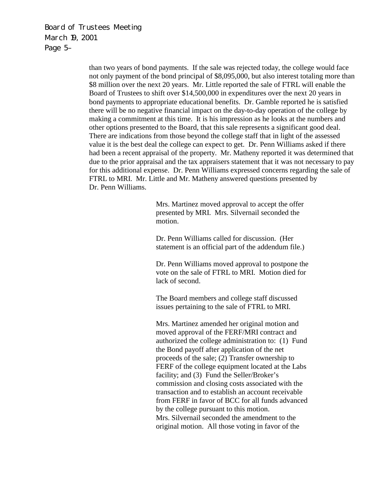Board of Trustees Meeting March 19, 2001 Page 5–

> than two years of bond payments. If the sale was rejected today, the college would face not only payment of the bond principal of \$8,095,000, but also interest totaling more than \$8 million over the next 20 years. Mr. Little reported the sale of FTRL will enable the Board of Trustees to shift over \$14,500,000 in expenditures over the next 20 years in bond payments to appropriate educational benefits. Dr. Gamble reported he is satisfied there will be no negative financial impact on the day-to-day operation of the college by making a commitment at this time. It is his impression as he looks at the numbers and other options presented to the Board, that this sale represents a significant good deal. There are indications from those beyond the college staff that in light of the assessed value it is the best deal the college can expect to get. Dr. Penn Williams asked if there had been a recent appraisal of the property. Mr. Matheny reported it was determined that due to the prior appraisal and the tax appraisers statement that it was not necessary to pay for this additional expense. Dr. Penn Williams expressed concerns regarding the sale of FTRL to MRI. Mr. Little and Mr. Matheny answered questions presented by Dr. Penn Williams.

> > Mrs. Martinez moved approval to accept the offer presented by MRI. Mrs. Silvernail seconded the motion.

> > Dr. Penn Williams called for discussion. (Her statement is an official part of the addendum file.)

Dr. Penn Williams moved approval to postpone the vote on the sale of FTRL to MRI. Motion died for lack of second.

The Board members and college staff discussed issues pertaining to the sale of FTRL to MRI.

Mrs. Martinez amended her original motion and moved approval of the FERF/MRI contract and authorized the college administration to: (1) Fund the Bond payoff after application of the net proceeds of the sale; (2) Transfer ownership to FERF of the college equipment located at the Labs facility; and (3) Fund the Seller/Broker's commission and closing costs associated with the transaction and to establish an account receivable from FERF in favor of BCC for all funds advanced by the college pursuant to this motion. Mrs. Silvernail seconded the amendment to the original motion. All those voting in favor of the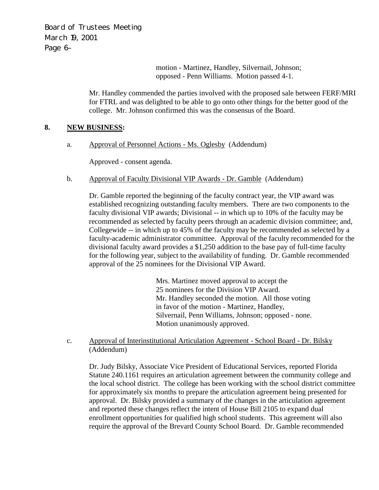Board of Trustees Meeting March 19, 2001 Page 6–

> motion - Martinez, Handley, Silvernail, Johnson; opposed - Penn Williams. Motion passed 4-1.

Mr. Handley commended the parties involved with the proposed sale between FERF/MRI for FTRL and was delighted to be able to go onto other things for the better good of the college. Mr. Johnson confirmed this was the consensus of the Board.

## **8. NEW BUSINESS:**

a. Approval of Personnel Actions - Ms. Oglesby (Addendum)

Approved - consent agenda.

b. Approval of Faculty Divisional VIP Awards - Dr. Gamble (Addendum)

Dr. Gamble reported the beginning of the faculty contract year, the VIP award was established recognizing outstanding faculty members. There are two components to the faculty divisional VIP awards; Divisional -- in which up to 10% of the faculty may be recommended as selected by faculty peers through an academic division committee; and, Collegewide -- in which up to 45% of the faculty may be recommended as selected by a faculty-academic administrator committee. Approval of the faculty recommended for the divisional faculty award provides a \$1,250 addition to the base pay of full-time faculty for the following year, subject to the availability of funding. Dr. Gamble recommended approval of the 25 nominees for the Divisional VIP Award.

> Mrs. Martinez moved approval to accept the 25 nominees for the Division VIP Award. Mr. Handley seconded the motion. All those voting in favor of the motion - Martinez, Handley, Silvernail, Penn Williams, Johnson; opposed - none. Motion unanimously approved.

 c. Approval of Interinstitutional Articulation Agreement - School Board - Dr. Bilsky (Addendum)

Dr. Judy Bilsky, Associate Vice President of Educational Services, reported Florida Statute 240.1161 requires an articulation agreement between the community college and the local school district. The college has been working with the school district committee for approximately six months to prepare the articulation agreement being presented for approval. Dr. Bilsky provided a summary of the changes in the articulation agreement and reported these changes reflect the intent of House Bill 2105 to expand dual enrollment opportunities for qualified high school students. This agreement will also require the approval of the Brevard County School Board. Dr. Gamble recommended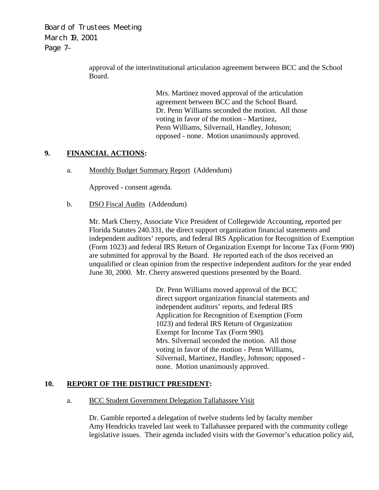Board of Trustees Meeting March 19, 2001 Page 7–

> approval of the interinstitutional articulation agreement between BCC and the School Board.

> > Mrs. Martinez moved approval of the articulation agreement between BCC and the School Board. Dr. Penn Williams seconded the motion. All those voting in favor of the motion - Martinez, Penn Williams, Silvernail, Handley, Johnson; opposed - none. Motion unanimously approved.

### **9. FINANCIAL ACTIONS:**

a. Monthly Budget Summary Report (Addendum)

Approved - consent agenda.

b. DSO Fiscal Audits (Addendum)

Mr. Mark Cherry, Associate Vice President of Collegewide Accounting, reported per Florida Statutes 240.331, the direct support organization financial statements and independent auditors' reports, and federal IRS Application for Recognition of Exemption (Form 1023) and federal IRS Return of Organization Exempt for Income Tax (Form 990) are submitted for approval by the Board. He reported each of the dsos received an unqualified or clean opinion from the respective independent auditors for the year ended June 30, 2000. Mr. Cherry answered questions presented by the Board.

> Dr. Penn Williams moved approval of the BCC direct support organization financial statements and independent auditors' reports, and federal IRS Application for Recognition of Exemption (Form 1023) and federal IRS Return of Organization Exempt for Income Tax (Form 990). Mrs. Silvernail seconded the motion. All those voting in favor of the motion - Penn Williams, Silvernail, Martinez, Handley, Johnson; opposed none. Motion unanimously approved.

### **10. REPORT OF THE DISTRICT PRESIDENT:**

### a. BCC Student Government Delegation Tallahassee Visit

Dr. Gamble reported a delegation of twelve students led by faculty member Amy Hendricks traveled last week to Tallahassee prepared with the community college legislative issues. Their agenda included visits with the Governor's education policy aid,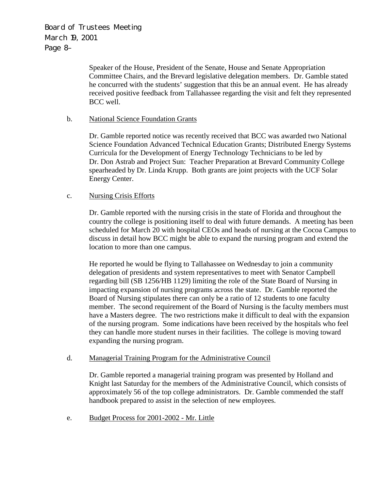Board of Trustees Meeting March 19, 2001 Page 8–

> Speaker of the House, President of the Senate, House and Senate Appropriation Committee Chairs, and the Brevard legislative delegation members. Dr. Gamble stated he concurred with the students' suggestion that this be an annual event. He has already received positive feedback from Tallahassee regarding the visit and felt they represented BCC well.

### b. National Science Foundation Grants

Dr. Gamble reported notice was recently received that BCC was awarded two National Science Foundation Advanced Technical Education Grants; Distributed Energy Systems Curricula for the Development of Energy Technology Technicians to be led by Dr. Don Astrab and Project Sun: Teacher Preparation at Brevard Community College spearheaded by Dr. Linda Krupp. Both grants are joint projects with the UCF Solar Energy Center.

### c. Nursing Crisis Efforts

Dr. Gamble reported with the nursing crisis in the state of Florida and throughout the country the college is positioning itself to deal with future demands. A meeting has been scheduled for March 20 with hospital CEOs and heads of nursing at the Cocoa Campus to discuss in detail how BCC might be able to expand the nursing program and extend the location to more than one campus.

He reported he would be flying to Tallahassee on Wednesday to join a community delegation of presidents and system representatives to meet with Senator Campbell regarding bill (SB 1256/HB 1129) limiting the role of the State Board of Nursing in impacting expansion of nursing programs across the state. Dr. Gamble reported the Board of Nursing stipulates there can only be a ratio of 12 students to one faculty member. The second requirement of the Board of Nursing is the faculty members must have a Masters degree. The two restrictions make it difficult to deal with the expansion of the nursing program. Some indications have been received by the hospitals who feel they can handle more student nurses in their facilities. The college is moving toward expanding the nursing program.

#### d. Managerial Training Program for the Administrative Council

Dr. Gamble reported a managerial training program was presented by Holland and Knight last Saturday for the members of the Administrative Council, which consists of approximately 56 of the top college administrators. Dr. Gamble commended the staff handbook prepared to assist in the selection of new employees.

e. Budget Process for 2001-2002 - Mr. Little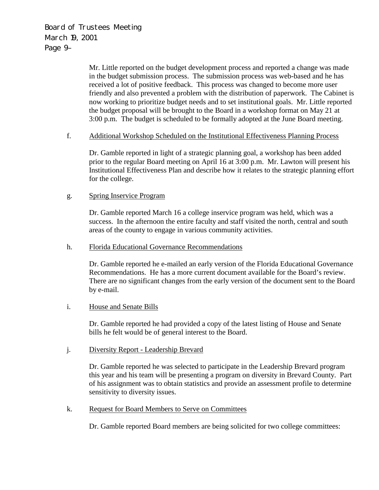Board of Trustees Meeting March 19, 2001 Page 9–

> Mr. Little reported on the budget development process and reported a change was made in the budget submission process. The submission process was web-based and he has received a lot of positive feedback. This process was changed to become more user friendly and also prevented a problem with the distribution of paperwork. The Cabinet is now working to prioritize budget needs and to set institutional goals. Mr. Little reported the budget proposal will be brought to the Board in a workshop format on May 21 at 3:00 p.m. The budget is scheduled to be formally adopted at the June Board meeting.

#### f. Additional Workshop Scheduled on the Institutional Effectiveness Planning Process

Dr. Gamble reported in light of a strategic planning goal, a workshop has been added prior to the regular Board meeting on April 16 at 3:00 p.m. Mr. Lawton will present his Institutional Effectiveness Plan and describe how it relates to the strategic planning effort for the college.

#### g. Spring Inservice Program

Dr. Gamble reported March 16 a college inservice program was held, which was a success. In the afternoon the entire faculty and staff visited the north, central and south areas of the county to engage in various community activities.

#### h. Florida Educational Governance Recommendations

Dr. Gamble reported he e-mailed an early version of the Florida Educational Governance Recommendations. He has a more current document available for the Board's review. There are no significant changes from the early version of the document sent to the Board by e-mail.

#### i. House and Senate Bills

Dr. Gamble reported he had provided a copy of the latest listing of House and Senate bills he felt would be of general interest to the Board.

#### j. Diversity Report - Leadership Brevard

Dr. Gamble reported he was selected to participate in the Leadership Brevard program this year and his team will be presenting a program on diversity in Brevard County. Part of his assignment was to obtain statistics and provide an assessment profile to determine sensitivity to diversity issues.

### k. Request for Board Members to Serve on Committees

Dr. Gamble reported Board members are being solicited for two college committees: